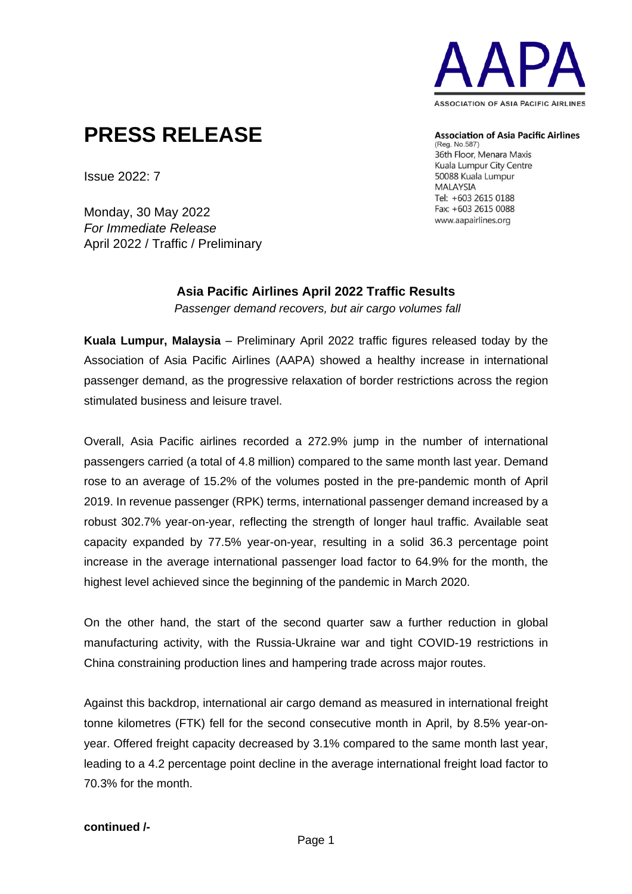

# **PRESS RELEASE**

**Association of Asia Pacific Airlines** 

(Reg. No.587) 36th Floor, Menara Maxis Kuala Lumpur City Centre 50088 Kuala Lumpur **MALAYSIA** Tel: +603 2615 0188 Fax: +603 2615 0088 www.aapairlines.org

Issue 2022: 7

Monday, 30 May 2022 *For Immediate Release* April 2022 / Traffic / Preliminary

## **Asia Pacific Airlines April 2022 Traffic Results** *Passenger demand recovers, but air cargo volumes fall*

**Kuala Lumpur, Malaysia** – Preliminary April 2022 traffic figures released today by the Association of Asia Pacific Airlines (AAPA) showed a healthy increase in international passenger demand, as the progressive relaxation of border restrictions across the region stimulated business and leisure travel.

Overall, Asia Pacific airlines recorded a 272.9% jump in the number of international passengers carried (a total of 4.8 million) compared to the same month last year. Demand rose to an average of 15.2% of the volumes posted in the pre-pandemic month of April 2019. In revenue passenger (RPK) terms, international passenger demand increased by a robust 302.7% year-on-year, reflecting the strength of longer haul traffic. Available seat capacity expanded by 77.5% year-on-year, resulting in a solid 36.3 percentage point increase in the average international passenger load factor to 64.9% for the month, the highest level achieved since the beginning of the pandemic in March 2020.

On the other hand, the start of the second quarter saw a further reduction in global manufacturing activity, with the Russia-Ukraine war and tight COVID-19 restrictions in China constraining production lines and hampering trade across major routes.

Against this backdrop, international air cargo demand as measured in international freight tonne kilometres (FTK) fell for the second consecutive month in April, by 8.5% year-onyear. Offered freight capacity decreased by 3.1% compared to the same month last year, leading to a 4.2 percentage point decline in the average international freight load factor to 70.3% for the month.

## **continued /-**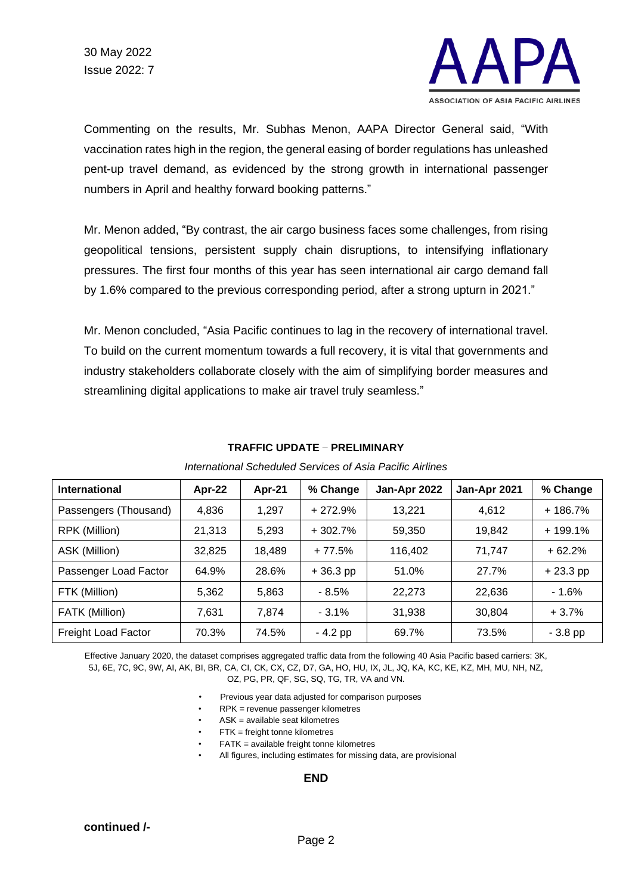

Commenting on the results, Mr. Subhas Menon, AAPA Director General said, "With vaccination rates high in the region, the general easing of border regulations has unleashed pent-up travel demand, as evidenced by the strong growth in international passenger numbers in April and healthy forward booking patterns."

Mr. Menon added, "By contrast, the air cargo business faces some challenges, from rising geopolitical tensions, persistent supply chain disruptions, to intensifying inflationary pressures. The first four months of this year has seen international air cargo demand fall by 1.6% compared to the previous corresponding period, after a strong upturn in 2021."

Mr. Menon concluded, "Asia Pacific continues to lag in the recovery of international travel. To build on the current momentum towards a full recovery, it is vital that governments and industry stakeholders collaborate closely with the aim of simplifying border measures and streamlining digital applications to make air travel truly seamless."

| <b>International</b>  | Apr-22 | Apr-21 | % Change   | Jan-Apr 2022 | Jan-Apr 2021 | % Change   |
|-----------------------|--------|--------|------------|--------------|--------------|------------|
| Passengers (Thousand) | 4,836  | 1,297  | $+272.9%$  | 13,221       | 4,612        | $+186.7%$  |
| RPK (Million)         | 21,313 | 5,293  | $+302.7%$  | 59.350       | 19.842       | $+199.1%$  |
| ASK (Million)         | 32,825 | 18,489 | $+77.5%$   | 116,402      | 71.747       | $+62.2%$   |
| Passenger Load Factor | 64.9%  | 28.6%  | $+36.3$ pp | 51.0%        | 27.7%        | $+23.3$ pp |
| FTK (Million)         | 5,362  | 5,863  | $-8.5%$    | 22.273       | 22,636       | $-1.6%$    |
| FATK (Million)        | 7,631  | 7.874  | $-3.1%$    | 31,938       | 30.804       | $+3.7%$    |
| Freight Load Factor   | 70.3%  | 74.5%  | $-4.2$ pp  | 69.7%        | 73.5%        | - 3.8 pp   |

## **TRAFFIC UPDATE** – **PRELIMINARY**

### *International Scheduled Services of Asia Pacific Airlines*

Effective January 2020, the dataset comprises aggregated traffic data from the following 40 Asia Pacific based carriers: 3K, 5J, 6E, 7C, 9C, 9W, AI, AK, BI, BR, CA, CI, CK, CX, CZ, D7, GA, HO, HU, IX, JL, JQ, KA, KC, KE, KZ, MH, MU, NH, NZ, OZ, PG, PR, QF, SG, SQ, TG, TR, VA and VN.

- Previous year data adjusted for comparison purposes
- RPK = revenue passenger kilometres
- ASK = available seat kilometres
- $FTK = freight$  tonne kilometres
- FATK = available freight tonne kilometres
- All figures, including estimates for missing data, are provisional

### **END**